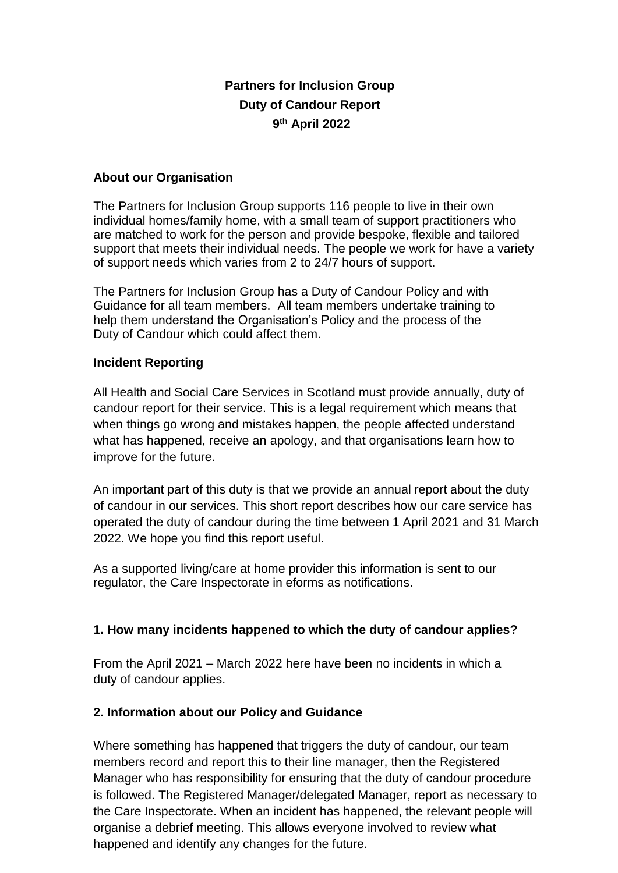# **Partners for Inclusion Group Duty of Candour Report 9 th April 2022**

#### **About our Organisation**

The Partners for Inclusion Group supports 116 people to live in their own individual homes/family home, with a small team of support practitioners who are matched to work for the person and provide bespoke, flexible and tailored support that meets their individual needs. The people we work for have a variety of support needs which varies from 2 to 24/7 hours of support.

The Partners for Inclusion Group has a Duty of Candour Policy and with Guidance for all team members. All team members undertake training to help them understand the Organisation's Policy and the process of the Duty of Candour which could affect them.

### **Incident Reporting**

All Health and Social Care Services in Scotland must provide annually, duty of candour report for their service. This is a legal requirement which means that when things go wrong and mistakes happen, the people affected understand what has happened, receive an apology, and that organisations learn how to improve for the future.

An important part of this duty is that we provide an annual report about the duty of candour in our services. This short report describes how our care service has operated the duty of candour during the time between 1 April 2021 and 31 March 2022. We hope you find this report useful.

As a supported living/care at home provider this information is sent to our regulator, the Care Inspectorate in eforms as notifications.

## **1. How many incidents happened to which the duty of candour applies?**

From the April 2021 – March 2022 here have been no incidents in which a duty of candour applies.

## **2. Information about our Policy and Guidance**

Where something has happened that triggers the duty of candour, our team members record and report this to their line manager, then the Registered Manager who has responsibility for ensuring that the duty of candour procedure is followed. The Registered Manager/delegated Manager, report as necessary to the Care Inspectorate. When an incident has happened, the relevant people will organise a debrief meeting. This allows everyone involved to review what happened and identify any changes for the future.